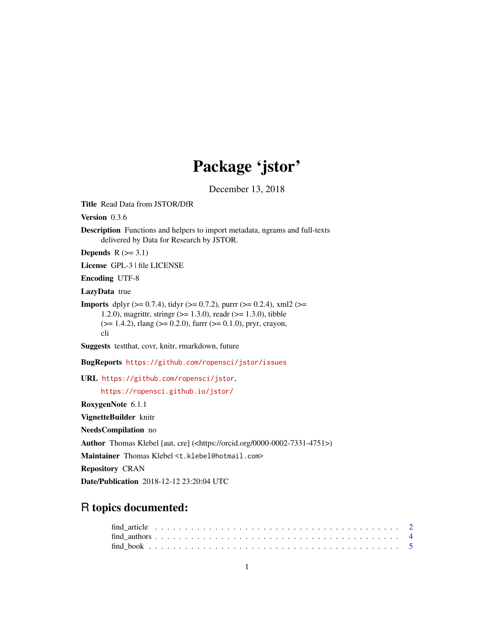## Package 'jstor'

December 13, 2018

<span id="page-0-0"></span>Title Read Data from JSTOR/DfR

Version 0.3.6

Description Functions and helpers to import metadata, ngrams and full-texts delivered by Data for Research by JSTOR.

Depends  $R$  ( $>= 3.1$ )

License GPL-3 | file LICENSE

Encoding UTF-8

LazyData true

**Imports** dplyr ( $> = 0.7.4$ ), tidyr ( $> = 0.7.2$ ), purrr ( $> = 0.2.4$ ), xml2 ( $> =$ 1.2.0), magrittr, stringr (>= 1.3.0), readr (>= 1.3.0), tibble  $(>= 1.4.2)$ , rlang  $(>= 0.2.0)$ , furrr  $(>= 0.1.0)$ , pryr, crayon, cli

Suggests testthat, covr, knitr, rmarkdown, future

BugReports <https://github.com/ropensci/jstor/issues>

URL <https://github.com/ropensci/jstor>,

<https://ropensci.github.io/jstor/>

RoxygenNote 6.1.1

VignetteBuilder knitr

NeedsCompilation no

Author Thomas Klebel [aut, cre] (<https://orcid.org/0000-0002-7331-4751>)

Maintainer Thomas Klebel <t.klebel@hotmail.com>

Repository CRAN

Date/Publication 2018-12-12 23:20:04 UTC

## R topics documented: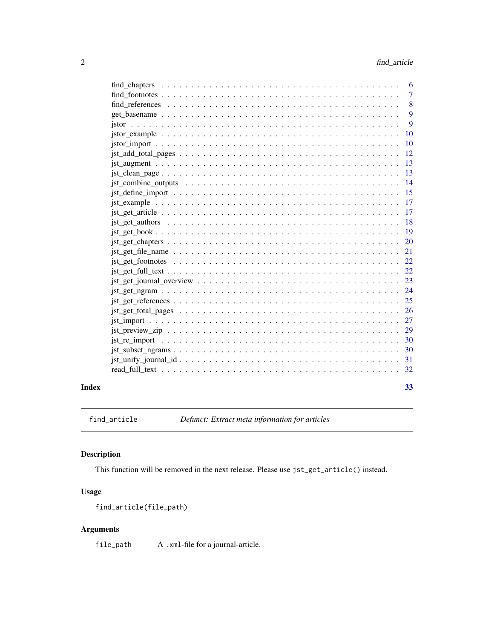<span id="page-1-0"></span>

|       |                                                                                                                                                  | - 6                       |
|-------|--------------------------------------------------------------------------------------------------------------------------------------------------|---------------------------|
|       |                                                                                                                                                  | $\overline{7}$            |
|       |                                                                                                                                                  | $\overline{\phantom{0}}8$ |
|       |                                                                                                                                                  | 9                         |
|       |                                                                                                                                                  | 9                         |
|       |                                                                                                                                                  | -10                       |
|       |                                                                                                                                                  |                           |
|       |                                                                                                                                                  |                           |
|       |                                                                                                                                                  | -13                       |
|       |                                                                                                                                                  | 13                        |
|       |                                                                                                                                                  | 14                        |
|       |                                                                                                                                                  | -15                       |
|       |                                                                                                                                                  | -17                       |
|       |                                                                                                                                                  |                           |
|       |                                                                                                                                                  | <sup>18</sup>             |
|       |                                                                                                                                                  |                           |
|       |                                                                                                                                                  |                           |
|       |                                                                                                                                                  | 21                        |
|       |                                                                                                                                                  |                           |
|       |                                                                                                                                                  |                           |
|       | $\text{jet\_get\_journal\_overview} \dots \dots \dots \dots \dots \dots \dots \dots \dots \dots \dots \dots \dots \dots \dots \dots \dots \dots$ |                           |
|       |                                                                                                                                                  |                           |
|       |                                                                                                                                                  | 25                        |
|       |                                                                                                                                                  | 26                        |
|       |                                                                                                                                                  | 27                        |
|       |                                                                                                                                                  | 29                        |
|       |                                                                                                                                                  | 30                        |
|       |                                                                                                                                                  |                           |
|       |                                                                                                                                                  |                           |
|       |                                                                                                                                                  |                           |
|       |                                                                                                                                                  |                           |
| Index |                                                                                                                                                  | 33                        |

find\_article *Defunct: Extract meta information for articles*

## Description

This function will be removed in the next release. Please use jst\_get\_article() instead.

## Usage

```
find_article(file_path)
```
## Arguments

file\_path A .xml-file for a journal-article.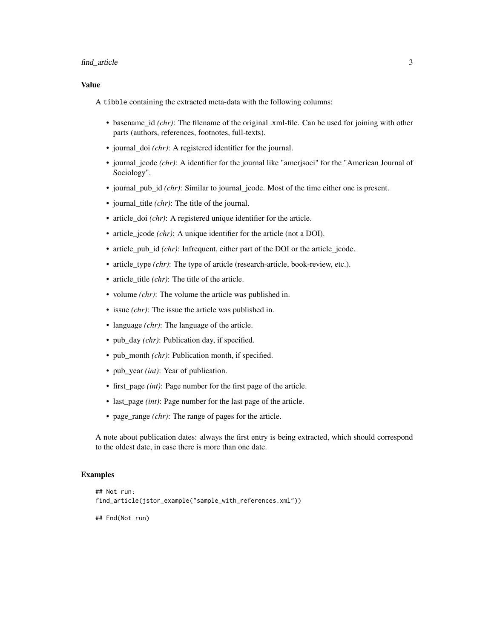## find\_article 3

## Value

A tibble containing the extracted meta-data with the following columns:

- basename\_id *(chr)*: The filename of the original .xml-file. Can be used for joining with other parts (authors, references, footnotes, full-texts).
- journal\_doi *(chr)*: A registered identifier for the journal.
- journal\_jcode *(chr)*: A identifier for the journal like "amerjsoci" for the "American Journal of Sociology".
- journal pub id *(chr)*: Similar to journal jcode. Most of the time either one is present.
- journal\_title *(chr)*: The title of the journal.
- article\_doi *(chr)*: A registered unique identifier for the article.
- article\_jcode *(chr)*: A unique identifier for the article (not a DOI).
- article\_pub\_id *(chr)*: Infrequent, either part of the DOI or the article\_jcode.
- article type *(chr)*: The type of article (research-article, book-review, etc.).
- article\_title *(chr)*: The title of the article.
- volume *(chr)*: The volume the article was published in.
- issue *(chr)*: The issue the article was published in.
- language *(chr)*: The language of the article.
- pub\_day *(chr)*: Publication day, if specified.
- pub\_month *(chr)*: Publication month, if specified.
- pub\_year *(int)*: Year of publication.
- first\_page *(int)*: Page number for the first page of the article.
- last\_page *(int)*: Page number for the last page of the article.
- page\_range *(chr)*: The range of pages for the article.

A note about publication dates: always the first entry is being extracted, which should correspond to the oldest date, in case there is more than one date.

## Examples

```
## Not run:
find_article(jstor_example("sample_with_references.xml"))
## End(Not run)
```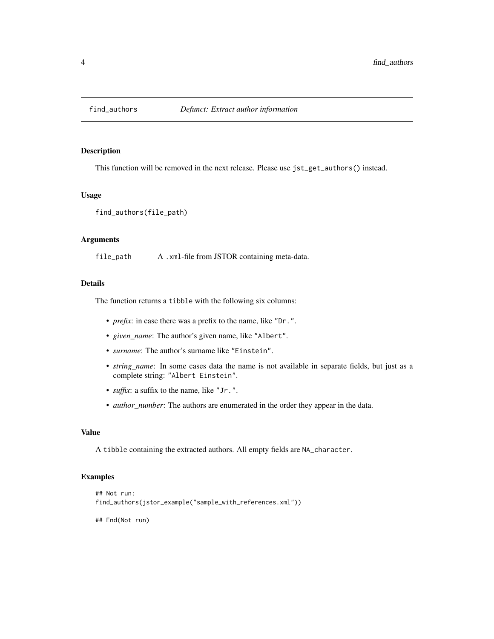<span id="page-3-1"></span><span id="page-3-0"></span>

This function will be removed in the next release. Please use jst\_get\_authors() instead.

## Usage

find\_authors(file\_path)

## Arguments

file\_path A .xml-file from JSTOR containing meta-data.

## Details

The function returns a tibble with the following six columns:

- *prefix*: in case there was a prefix to the name, like "Dr.".
- *given\_name*: The author's given name, like "Albert".
- *surname*: The author's surname like "Einstein".
- *string\_name*: In some cases data the name is not available in separate fields, but just as a complete string: "Albert Einstein".
- *suffix*: a suffix to the name, like "Jr.".
- *author\_number*: The authors are enumerated in the order they appear in the data.

## Value

A tibble containing the extracted authors. All empty fields are NA\_character.

#### Examples

```
## Not run:
find_authors(jstor_example("sample_with_references.xml"))
```
## End(Not run)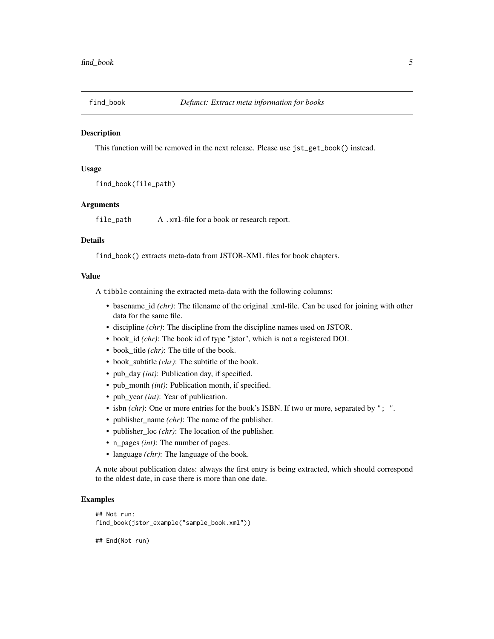<span id="page-4-0"></span>

This function will be removed in the next release. Please use jst\_get\_book() instead.

## Usage

```
find_book(file_path)
```
## Arguments

file\_path A .xml-file for a book or research report.

#### Details

find\_book() extracts meta-data from JSTOR-XML files for book chapters.

## Value

A tibble containing the extracted meta-data with the following columns:

- basename\_id *(chr)*: The filename of the original .xml-file. Can be used for joining with other data for the same file.
- discipline *(chr)*: The discipline from the discipline names used on JSTOR.
- book\_id *(chr)*: The book id of type "jstor", which is not a registered DOI.
- book\_title *(chr)*: The title of the book.
- book\_subtitle *(chr)*: The subtitle of the book.
- pub\_day *(int)*: Publication day, if specified.
- pub\_month *(int)*: Publication month, if specified.
- pub\_year *(int)*: Year of publication.
- isbn *(chr)*: One or more entries for the book's ISBN. If two or more, separated by "; ".
- publisher\_name *(chr)*: The name of the publisher.
- publisher\_loc *(chr)*: The location of the publisher.
- n\_pages *(int)*: The number of pages.
- language *(chr)*: The language of the book.

A note about publication dates: always the first entry is being extracted, which should correspond to the oldest date, in case there is more than one date.

#### Examples

```
## Not run:
find_book(jstor_example("sample_book.xml"))
```
## End(Not run)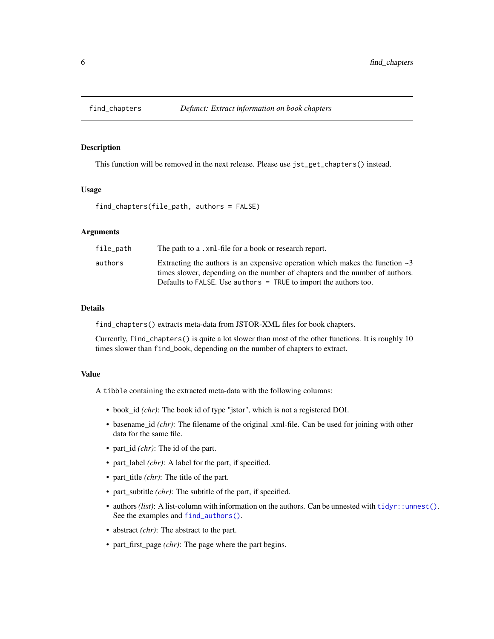<span id="page-5-0"></span>

This function will be removed in the next release. Please use jst\_get\_chapters() instead.

## Usage

```
find_chapters(file_path, authors = FALSE)
```
## Arguments

| file_path | The path to a .xml-file for a book or research report.                             |
|-----------|------------------------------------------------------------------------------------|
| authors   | Extracting the authors is an expensive operation which makes the function $\sim$ 3 |
|           | times slower, depending on the number of chapters and the number of authors.       |
|           | Defaults to FALSE. Use authors = TRUE to import the authors too.                   |

## Details

find\_chapters() extracts meta-data from JSTOR-XML files for book chapters.

Currently, find\_chapters() is quite a lot slower than most of the other functions. It is roughly 10 times slower than find\_book, depending on the number of chapters to extract.

#### Value

A tibble containing the extracted meta-data with the following columns:

- book\_id *(chr)*: The book id of type "jstor", which is not a registered DOI.
- basename\_id *(chr)*: The filename of the original .xml-file. Can be used for joining with other data for the same file.
- part\_id *(chr)*: The id of the part.
- part\_label *(chr)*: A label for the part, if specified.
- part\_title *(chr)*: The title of the part.
- part\_subtitle *(chr)*: The subtitle of the part, if specified.
- authors *(list)*: A list-column with information on the authors. Can be unnested with [tidyr::unnest\(\)](#page-0-0). See the examples and [find\\_authors\(\)](#page-3-1).
- abstract *(chr)*: The abstract to the part.
- part\_first\_page *(chr)*: The page where the part begins.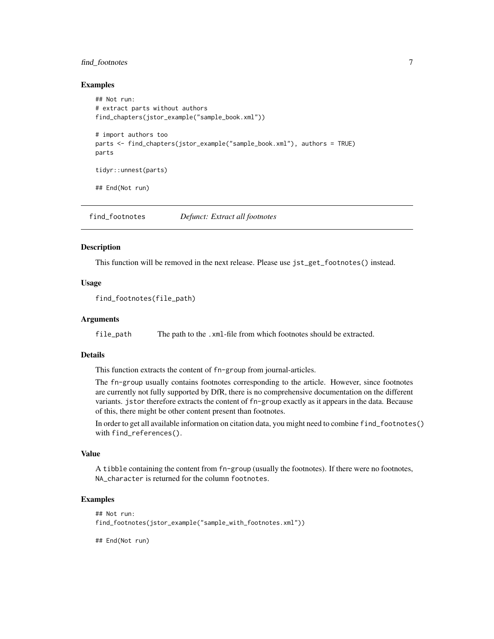## <span id="page-6-0"></span>find\_footnotes 7

## Examples

```
## Not run:
# extract parts without authors
find_chapters(jstor_example("sample_book.xml"))
# import authors too
parts <- find_chapters(jstor_example("sample_book.xml"), authors = TRUE)
parts
tidyr::unnest(parts)
## End(Not run)
```
find\_footnotes *Defunct: Extract all footnotes*

#### Description

This function will be removed in the next release. Please use jst\_get\_footnotes() instead.

## Usage

```
find_footnotes(file_path)
```
## Arguments

file\_path The path to the .xml-file from which footnotes should be extracted.

## Details

This function extracts the content of fn-group from journal-articles.

The fn-group usually contains footnotes corresponding to the article. However, since footnotes are currently not fully supported by DfR, there is no comprehensive documentation on the different variants. jstor therefore extracts the content of fn-group exactly as it appears in the data. Because of this, there might be other content present than footnotes.

In order to get all available information on citation data, you might need to combine find\_footnotes() with find\_references().

#### Value

A tibble containing the content from fn-group (usually the footnotes). If there were no footnotes, NA\_character is returned for the column footnotes.

## Examples

```
## Not run:
find_footnotes(jstor_example("sample_with_footnotes.xml"))
```
## End(Not run)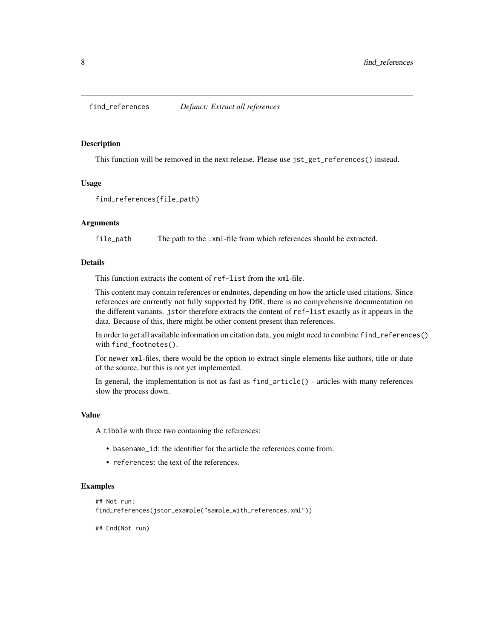<span id="page-7-0"></span>

This function will be removed in the next release. Please use jst\_get\_references() instead.

#### Usage

find\_references(file\_path)

## Arguments

file\_path The path to the .xml-file from which references should be extracted.

## Details

This function extracts the content of ref-list from the xml-file.

This content may contain references or endnotes, depending on how the article used citations. Since references are currently not fully supported by DfR, there is no comprehensive documentation on the different variants. jstor therefore extracts the content of ref-list exactly as it appears in the data. Because of this, there might be other content present than references.

In order to get all available information on citation data, you might need to combine find\_references() with find\_footnotes().

For newer xml-files, there would be the option to extract single elements like authors, title or date of the source, but this is not yet implemented.

In general, the implementation is not as fast as find\_article() - articles with many references slow the process down.

#### Value

A tibble with three two containing the references:

- basename\_id: the identifier for the article the references come from.
- references: the text of the references.

#### Examples

```
## Not run:
find_references(jstor_example("sample_with_references.xml"))
```
## End(Not run)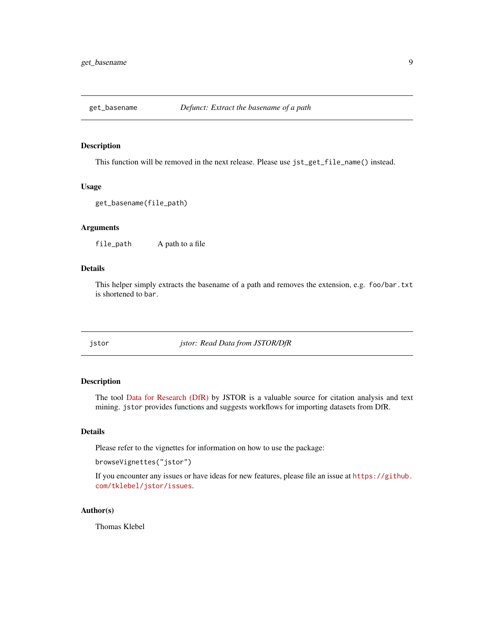<span id="page-8-0"></span>

This function will be removed in the next release. Please use jst\_get\_file\_name() instead.

#### Usage

```
get_basename(file_path)
```
#### Arguments

file\_path A path to a file

#### Details

This helper simply extracts the basename of a path and removes the extension, e.g. foo/bar.txt is shortened to bar.

jstor *jstor: Read Data from JSTOR/DfR*

## Description

The tool [Data for Research \(DfR\)](http://www.jstor.org/dfr/) by JSTOR is a valuable source for citation analysis and text mining. jstor provides functions and suggests workflows for importing datasets from DfR.

## Details

Please refer to the vignettes for information on how to use the package:

browseVignettes("jstor")

If you encounter any issues or have ideas for new features, please file an issue at [https://github.](https://github.com/tklebel/jstor/issues) [com/tklebel/jstor/issues](https://github.com/tklebel/jstor/issues).

## Author(s)

Thomas Klebel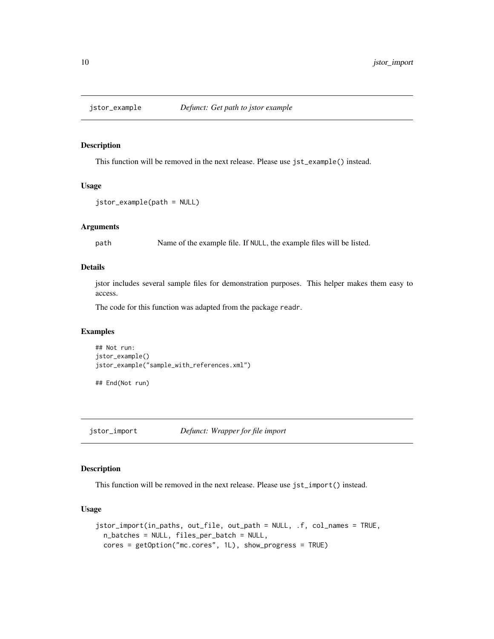<span id="page-9-0"></span>

This function will be removed in the next release. Please use jst\_example() instead.

## Usage

```
jstor_example(path = NULL)
```
## Arguments

path Name of the example file. If NULL, the example files will be listed.

## Details

jstor includes several sample files for demonstration purposes. This helper makes them easy to access.

The code for this function was adapted from the package readr.

## Examples

```
## Not run:
jstor_example()
jstor_example("sample_with_references.xml")
```
## End(Not run)

jstor\_import *Defunct: Wrapper for file import*

## Description

This function will be removed in the next release. Please use jst\_import() instead.

## Usage

```
jstor_import(in_paths, out_file, out_path = NULL, .f, col_names = TRUE,
 n_batches = NULL, files_per_batch = NULL,
 cores = getOption("mc.cores", 1L), show_progress = TRUE)
```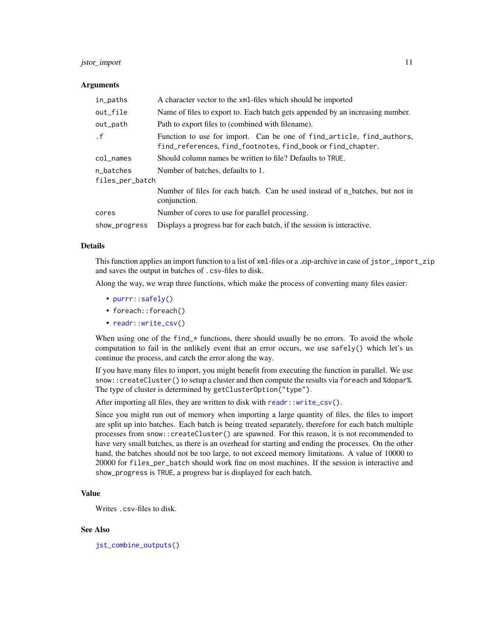## <span id="page-10-0"></span>jstor\_import 11

#### Arguments

| in_paths        | A character vector to the xml-files which should be imported                                                                         |
|-----------------|--------------------------------------------------------------------------------------------------------------------------------------|
| out_file        | Name of files to export to. Each batch gets appended by an increasing number.                                                        |
| out_path        | Path to export files to (combined with filename).                                                                                    |
| $\cdot$ f       | Function to use for import. Can be one of find_article, find_authors,<br>find_references, find_footnotes, find_book or find_chapter. |
| $col$ $\_names$ | Should column names be written to file? Defaults to TRUE.                                                                            |
| n batches       | Number of batches, defaults to 1.                                                                                                    |
| files_per_batch |                                                                                                                                      |
|                 | Number of files for each batch. Can be used instead of n batches, but not in<br>conjunction.                                         |
| cores           | Number of cores to use for parallel processing.                                                                                      |
| show_progress   | Displays a progress bar for each batch, if the session is interactive.                                                               |

## Details

This function applies an import function to a list of xml-files or a .zip-archive in case of jstor\_import\_zip and saves the output in batches of .csv-files to disk.

Along the way, we wrap three functions, which make the process of converting many files easier:

- [purrr::safely\(\)](#page-0-0)
- foreach::foreach()
- [readr::write\\_csv\(\)](#page-0-0)

When using one of the find  $\star$  functions, there should usually be no errors. To avoid the whole computation to fail in the unlikely event that an error occurs, we use safely() which let's us continue the process, and catch the error along the way.

If you have many files to import, you might benefit from executing the function in parallel. We use snow::createCluster() to setup a cluster and then compute the results via foreach and %dopar%. The type of cluster is determined by getClusterOption("type").

After importing all files, they are written to disk with [readr::write\\_csv\(\)](#page-0-0).

Since you might run out of memory when importing a large quantity of files, the files to import are split up into batches. Each batch is being treated separately, therefore for each batch multiple processes from snow::createCluster() are spawned. For this reason, it is not recommended to have very small batches, as there is an overhead for starting and ending the processes. On the other hand, the batches should not be too large, to not exceed memory limitations. A value of 10000 to 20000 for files\_per\_batch should work fine on most machines. If the session is interactive and show\_progress is TRUE, a progress bar is displayed for each batch.

## Value

Writes .csv-files to disk.

#### See Also

[jst\\_combine\\_outputs\(\)](#page-13-1)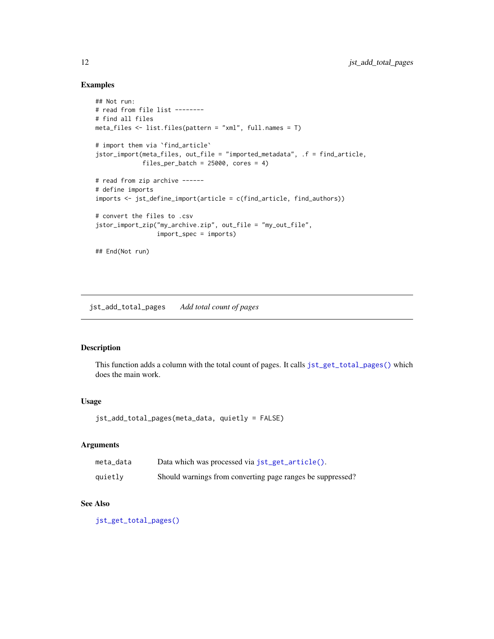## Examples

```
## Not run:
# read from file list --------
# find all files
meta_files <- list.files(pattern = "xml", full.names = T)
# import them via `find_article`
jstor_import(meta_files, out_file = "imported_metadata", .f = find_article,
             files_per_batch = 25000, cores = 4)
# read from zip archive ------
# define imports
imports <- jst_define_import(article = c(find_article, find_authors))
# convert the files to .csv
jstor_import_zip("my_archive.zip", out_file = "my_out_file",
                 import_spec = imports)
## End(Not run)
```
<span id="page-11-1"></span>jst\_add\_total\_pages *Add total count of pages*

## Description

This function adds a column with the total count of pages. It calls [jst\\_get\\_total\\_pages\(\)](#page-25-1) which does the main work.

## Usage

jst\_add\_total\_pages(meta\_data, quietly = FALSE)

## Arguments

| meta_data | Data which was processed via jst_get_article().            |
|-----------|------------------------------------------------------------|
| quietly   | Should warnings from converting page ranges be suppressed? |

## See Also

[jst\\_get\\_total\\_pages\(\)](#page-25-1)

<span id="page-11-0"></span>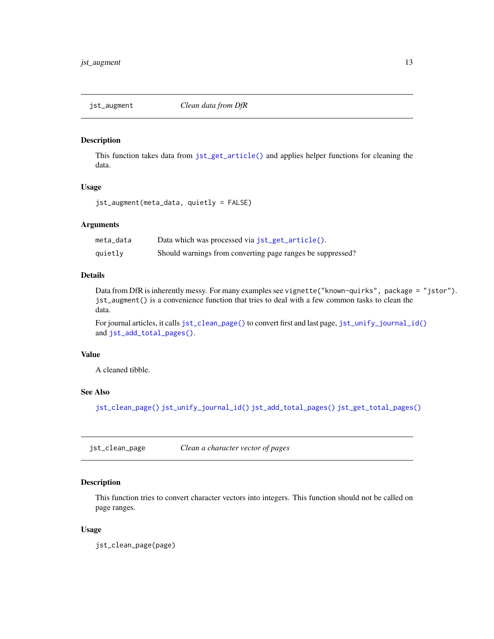<span id="page-12-0"></span>

This function takes data from [jst\\_get\\_article\(\)](#page-16-1) and applies helper functions for cleaning the data.

## Usage

jst\_augment(meta\_data, quietly = FALSE)

#### Arguments

| meta data | Data which was processed via jst_get_article().            |
|-----------|------------------------------------------------------------|
| quietly   | Should warnings from converting page ranges be suppressed? |

## Details

Data from DfR is inherently messy. For many examples see vignette("known-quirks", package = "jstor"). jst\_augment() is a convenience function that tries to deal with a few common tasks to clean the data.

For journal articles, it calls [jst\\_clean\\_page\(\)](#page-12-1) to convert first and last page, [jst\\_unify\\_journal\\_id\(\)](#page-30-1) and [jst\\_add\\_total\\_pages\(\)](#page-11-1).

## Value

A cleaned tibble.

## See Also

[jst\\_clean\\_page\(\)](#page-12-1) [jst\\_unify\\_journal\\_id\(\)](#page-30-1) [jst\\_add\\_total\\_pages\(\)](#page-11-1) [jst\\_get\\_total\\_pages\(\)](#page-25-1)

<span id="page-12-1"></span>jst\_clean\_page *Clean a character vector of pages*

## Description

This function tries to convert character vectors into integers. This function should not be called on page ranges.

## Usage

jst\_clean\_page(page)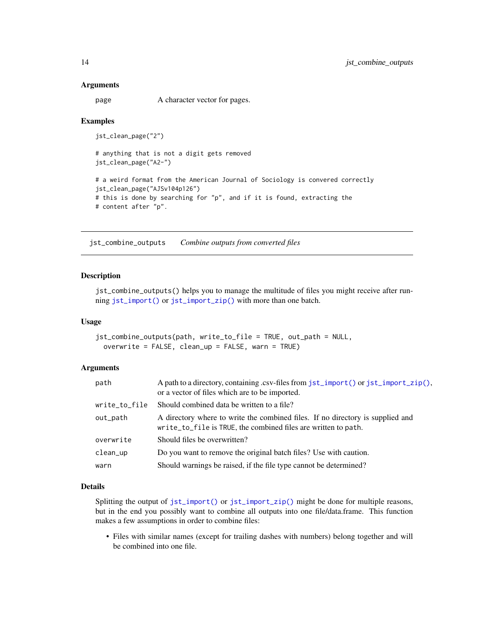#### <span id="page-13-0"></span>Arguments

page A character vector for pages.

## Examples

jst\_clean\_page("2")

```
# anything that is not a digit gets removed
jst_clean_page("A2-")
# a weird format from the American Journal of Sociology is convered correctly
```
jst\_clean\_page("AJSv104p126") # this is done by searching for "p", and if it is found, extracting the # content after "p".

<span id="page-13-1"></span>jst\_combine\_outputs *Combine outputs from converted files*

## Description

jst\_combine\_outputs() helps you to manage the multitude of files you might receive after running [jst\\_import\(\)](#page-26-1) or [jst\\_import\\_zip\(\)](#page-26-2) with more than one batch.

#### Usage

```
jst_combine_outputs(path, write_to_file = TRUE, out_path = NULL,
 overwrite = FALSE, clean_up = FALSE, warn = TRUE)
```
### Arguments

| path          | A path to a directory, containing .csv-files from jst_import() or jst_import_zip(),<br>or a vector of files which are to be imported.            |
|---------------|--------------------------------------------------------------------------------------------------------------------------------------------------|
| write_to_file | Should combined data be written to a file?                                                                                                       |
| out_path      | A directory where to write the combined files. If no directory is supplied and<br>write_to_file is TRUE, the combined files are written to path. |
| overwrite     | Should files be overwritten?                                                                                                                     |
| clean_up      | Do you want to remove the original batch files? Use with caution.                                                                                |
| warn          | Should warnings be raised, if the file type cannot be determined?                                                                                |

#### Details

Splitting the output of [jst\\_import\(\)](#page-26-1) or [jst\\_import\\_zip\(\)](#page-26-2) might be done for multiple reasons, but in the end you possibly want to combine all outputs into one file/data.frame. This function makes a few assumptions in order to combine files:

• Files with similar names (except for trailing dashes with numbers) belong together and will be combined into one file.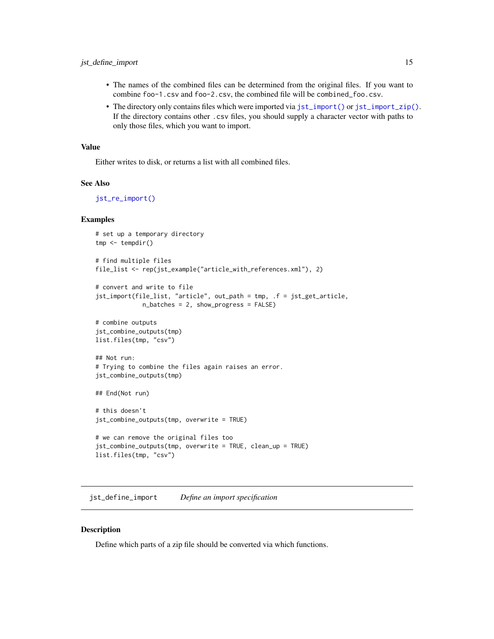- <span id="page-14-0"></span>• The names of the combined files can be determined from the original files. If you want to combine foo-1.csv and foo-2.csv, the combined file will be combined\_foo.csv.
- The directory only contains files which were imported via [jst\\_import\(\)](#page-26-1) or [jst\\_import\\_zip\(\)](#page-26-2). If the directory contains other .csv files, you should supply a character vector with paths to only those files, which you want to import.

#### Value

Either writes to disk, or returns a list with all combined files.

#### See Also

[jst\\_re\\_import\(\)](#page-29-1)

#### Examples

```
# set up a temporary directory
tmp < - tempdir()
# find multiple files
file_list <- rep(jst_example("article_with_references.xml"), 2)
# convert and write to file
jst_import(file_list, "article", out_path = tmp, .f = jst_get_article,
             n_batches = 2, show_progress = FALSE)
# combine outputs
jst_combine_outputs(tmp)
list.files(tmp, "csv")
## Not run:
# Trying to combine the files again raises an error.
jst_combine_outputs(tmp)
## End(Not run)
# this doesn't
jst_combine_outputs(tmp, overwrite = TRUE)
# we can remove the original files too
jst_combine_outputs(tmp, overwrite = TRUE, clean_up = TRUE)
list.files(tmp, "csv")
```
<span id="page-14-1"></span>jst\_define\_import *Define an import specification*

## Description

Define which parts of a zip file should be converted via which functions.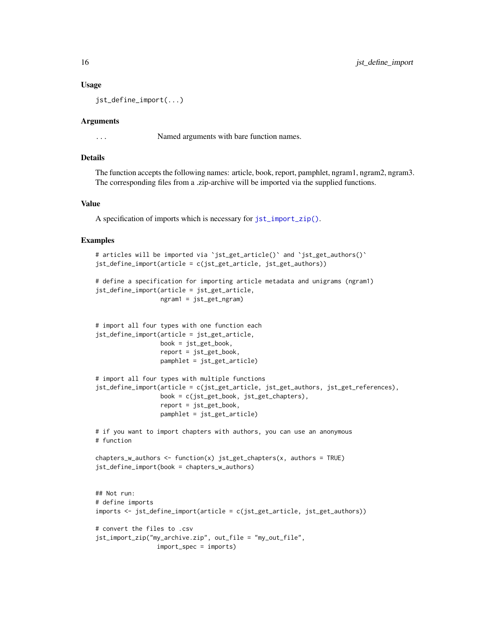#### Usage

jst\_define\_import(...)

#### Arguments

... Named arguments with bare function names.

## Details

The function accepts the following names: article, book, report, pamphlet, ngram1, ngram2, ngram3. The corresponding files from a .zip-archive will be imported via the supplied functions.

## Value

A specification of imports which is necessary for [jst\\_import\\_zip\(\)](#page-26-2).

#### Examples

```
# articles will be imported via `jst_get_article()` and `jst_get_authors()`
jst_define_import(article = c(jst_get_article, jst_get_authors))
# define a specification for importing article metadata and unigrams (ngram1)
jst_define_import(article = jst_get_article,
                 ngram1 = jst_get_ngram)
# import all four types with one function each
jst_define_import(article = jst_get_article,
                  book = jst_get_book,
                  report = jst_get_book,
                  pamphlet = jst_get_article)
# import all four types with multiple functions
jst_define_import(article = c(jst_get_article, jst_get_authors, jst_get_references),
                  book = c(jst_get_book, jst_get_chapters),
                  report = jst_get_book,
                  pamphlet = jst_get_article)
# if you want to import chapters with authors, you can use an anonymous
# function
chapters_w_authors <- function(x) jst_get_chapters(x, authors = TRUE)
jst_define_import(book = chapters_w_authors)
## Not run:
# define imports
imports <- jst_define_import(article = c(jst_get_article, jst_get_authors))
# convert the files to .csv
jst_import_zip("my_archive.zip", out_file = "my_out_file",
                 import_spec = imports)
```
<span id="page-15-0"></span>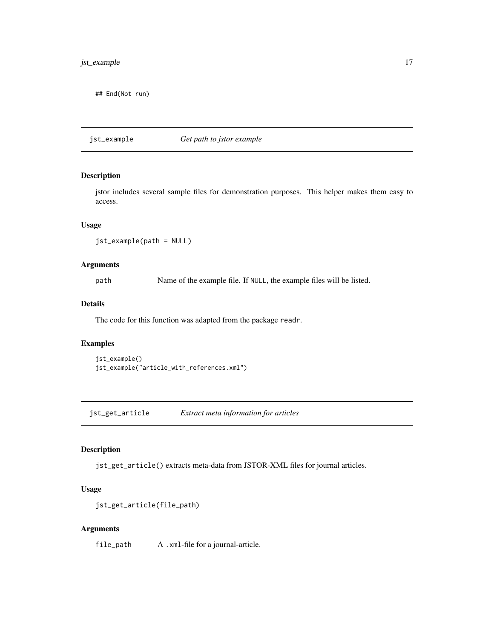## <span id="page-16-0"></span>jst\_example 17

## End(Not run)

jst\_example *Get path to jstor example*

## Description

jstor includes several sample files for demonstration purposes. This helper makes them easy to access.

## Usage

jst\_example(path = NULL)

## Arguments

path Name of the example file. If NULL, the example files will be listed.

## Details

The code for this function was adapted from the package readr.

## Examples

```
jst_example()
jst_example("article_with_references.xml")
```
<span id="page-16-1"></span>jst\_get\_article *Extract meta information for articles*

## Description

jst\_get\_article() extracts meta-data from JSTOR-XML files for journal articles.

#### Usage

```
jst_get_article(file_path)
```
## Arguments

file\_path A .xml-file for a journal-article.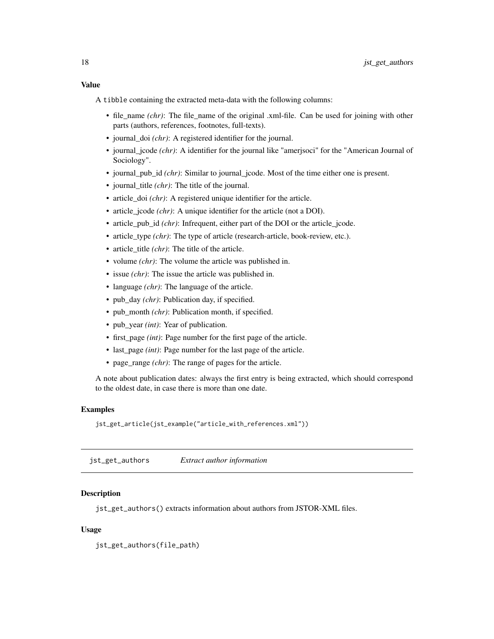<span id="page-17-0"></span>A tibble containing the extracted meta-data with the following columns:

- file\_name *(chr)*: The file\_name of the original .xml-file. Can be used for joining with other parts (authors, references, footnotes, full-texts).
- journal\_doi *(chr)*: A registered identifier for the journal.
- journal\_jcode *(chr)*: A identifier for the journal like "amerjsoci" for the "American Journal of Sociology".
- journal\_pub\_id *(chr)*: Similar to journal\_jcode. Most of the time either one is present.
- journal\_title *(chr)*: The title of the journal.
- article\_doi *(chr)*: A registered unique identifier for the article.
- article jcode *(chr)*: A unique identifier for the article (not a DOI).
- article\_pub\_id *(chr)*: Infrequent, either part of the DOI or the article\_jcode.
- article\_type *(chr)*: The type of article (research-article, book-review, etc.).
- article\_title *(chr)*: The title of the article.
- volume *(chr)*: The volume the article was published in.
- issue *(chr)*: The issue the article was published in.
- language *(chr)*: The language of the article.
- pub\_day *(chr)*: Publication day, if specified.
- pub\_month *(chr)*: Publication month, if specified.
- pub year *(int)*: Year of publication.
- first\_page *(int)*: Page number for the first page of the article.
- last\_page *(int)*: Page number for the last page of the article.
- page\_range *(chr)*: The range of pages for the article.

A note about publication dates: always the first entry is being extracted, which should correspond to the oldest date, in case there is more than one date.

## Examples

jst\_get\_article(jst\_example("article\_with\_references.xml"))

jst\_get\_authors *Extract author information*

## **Description**

jst\_get\_authors() extracts information about authors from JSTOR-XML files.

#### Usage

jst\_get\_authors(file\_path)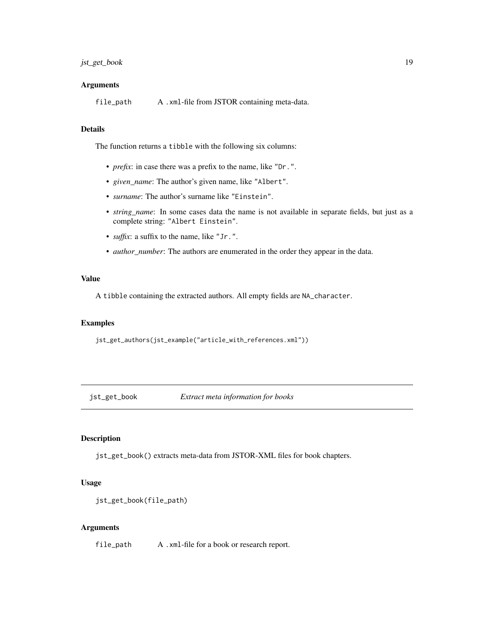## <span id="page-18-0"></span>jst\_get\_book 19

#### Arguments

file\_path A .xml-file from JSTOR containing meta-data.

## Details

The function returns a tibble with the following six columns:

- *prefix*: in case there was a prefix to the name, like "Dr.".
- *given\_name*: The author's given name, like "Albert".
- *surname*: The author's surname like "Einstein".
- *string\_name*: In some cases data the name is not available in separate fields, but just as a complete string: "Albert Einstein".
- *suffix*: a suffix to the name, like "Jr.".
- *author\_number*: The authors are enumerated in the order they appear in the data.

## Value

A tibble containing the extracted authors. All empty fields are NA\_character.

#### Examples

jst\_get\_authors(jst\_example("article\_with\_references.xml"))

jst\_get\_book *Extract meta information for books*

## Description

jst\_get\_book() extracts meta-data from JSTOR-XML files for book chapters.

## Usage

```
jst_get_book(file_path)
```
## Arguments

file\_path A .xml-file for a book or research report.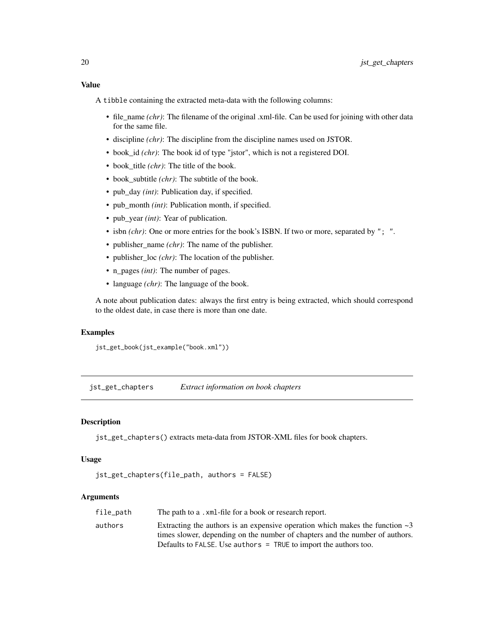<span id="page-19-0"></span>A tibble containing the extracted meta-data with the following columns:

- file\_name *(chr)*: The filename of the original .xml-file. Can be used for joining with other data for the same file.
- discipline *(chr)*: The discipline from the discipline names used on JSTOR.
- book\_id *(chr)*: The book id of type "jstor", which is not a registered DOI.
- book title *(chr)*: The title of the book.
- book subtitle *(chr)*: The subtitle of the book.
- pub\_day *(int)*: Publication day, if specified.
- pub\_month *(int)*: Publication month, if specified.
- pub\_year *(int)*: Year of publication.
- isbn *(chr)*: One or more entries for the book's ISBN. If two or more, separated by "; ".
- publisher\_name *(chr)*: The name of the publisher.
- publisher\_loc *(chr)*: The location of the publisher.
- n\_pages *(int)*: The number of pages.
- language *(chr)*: The language of the book.

A note about publication dates: always the first entry is being extracted, which should correspond to the oldest date, in case there is more than one date.

## Examples

jst\_get\_book(jst\_example("book.xml"))

jst\_get\_chapters *Extract information on book chapters*

## Description

jst\_get\_chapters() extracts meta-data from JSTOR-XML files for book chapters.

#### Usage

```
jst_get_chapters(file_path, authors = FALSE)
```
## Arguments

| file_path | The path to a , xml-file for a book or research report.                            |
|-----------|------------------------------------------------------------------------------------|
| authors   | Extracting the authors is an expensive operation which makes the function $\sim$ 3 |
|           | times slower, depending on the number of chapters and the number of authors.       |
|           | Defaults to FALSE. Use authors = TRUE to import the authors too.                   |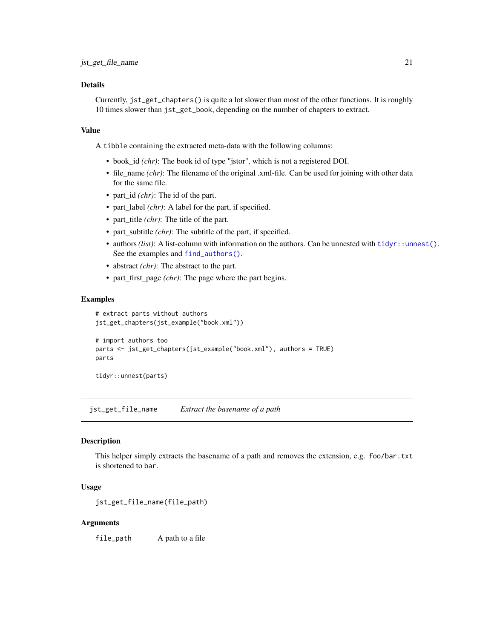## <span id="page-20-0"></span>Details

Currently, jst\_get\_chapters() is quite a lot slower than most of the other functions. It is roughly 10 times slower than jst\_get\_book, depending on the number of chapters to extract.

#### Value

A tibble containing the extracted meta-data with the following columns:

- book\_id *(chr)*: The book id of type "jstor", which is not a registered DOI.
- file\_name *(chr)*: The filename of the original .xml-file. Can be used for joining with other data for the same file.
- part\_id *(chr)*: The id of the part.
- part\_label *(chr)*: A label for the part, if specified.
- part\_title *(chr)*: The title of the part.
- part subtitle  $chr)$ : The subtitle of the part, if specified.
- authors *(list)*: A list-column with information on the authors. Can be unnested with [tidyr::unnest\(\)](#page-0-0). See the examples and [find\\_authors\(\)](#page-3-1).
- abstract *(chr)*: The abstract to the part.
- part\_first\_page *(chr)*: The page where the part begins.

#### Examples

```
# extract parts without authors
jst_get_chapters(jst_example("book.xml"))
# import authors too
parts <- jst_get_chapters(jst_example("book.xml"), authors = TRUE)
parts
```
tidyr::unnest(parts)

jst\_get\_file\_name *Extract the basename of a path*

#### Description

This helper simply extracts the basename of a path and removes the extension, e.g. foo/bar.txt is shortened to bar.

#### Usage

```
jst_get_file_name(file_path)
```
#### Arguments

file\_path A path to a file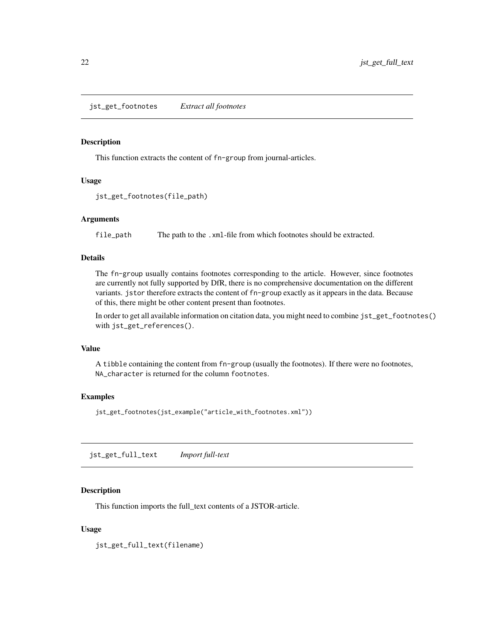<span id="page-21-0"></span>This function extracts the content of fn-group from journal-articles.

## Usage

```
jst_get_footnotes(file_path)
```
## Arguments

file\_path The path to the .xml-file from which footnotes should be extracted.

## Details

The fn-group usually contains footnotes corresponding to the article. However, since footnotes are currently not fully supported by DfR, there is no comprehensive documentation on the different variants. jstor therefore extracts the content of fn-group exactly as it appears in the data. Because of this, there might be other content present than footnotes.

In order to get all available information on citation data, you might need to combine jst\_get\_footnotes() with jst\_get\_references().

## Value

A tibble containing the content from fn-group (usually the footnotes). If there were no footnotes, NA\_character is returned for the column footnotes.

## Examples

jst\_get\_footnotes(jst\_example("article\_with\_footnotes.xml"))

jst\_get\_full\_text *Import full-text*

## Description

This function imports the full\_text contents of a JSTOR-article.

## Usage

jst\_get\_full\_text(filename)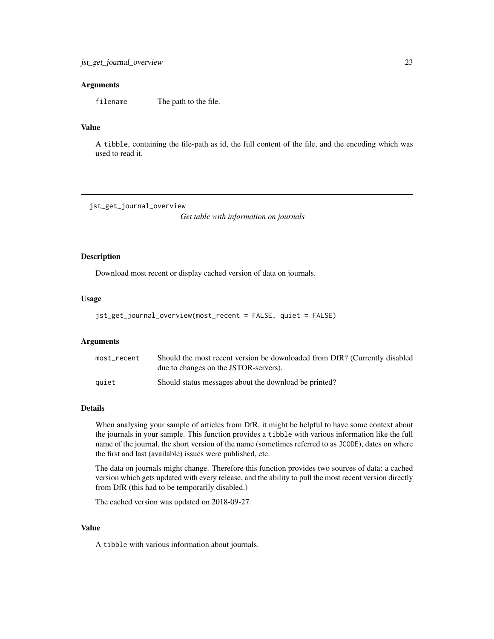## <span id="page-22-0"></span>Arguments

filename The path to the file.

## Value

A tibble, containing the file-path as id, the full content of the file, and the encoding which was used to read it.

jst\_get\_journal\_overview

*Get table with information on journals*

#### Description

Download most recent or display cached version of data on journals.

#### Usage

```
jst_get_journal_overview(most_recent = FALSE, quiet = FALSE)
```
## Arguments

| most recent | Should the most recent version be downloaded from DfR? (Currently disabled<br>due to changes on the JSTOR-servers). |
|-------------|---------------------------------------------------------------------------------------------------------------------|
| auiet       | Should status messages about the download be printed?                                                               |

## Details

When analysing your sample of articles from DfR, it might be helpful to have some context about the journals in your sample. This function provides a tibble with various information like the full name of the journal, the short version of the name (sometimes referred to as JCODE), dates on where the first and last (available) issues were published, etc.

The data on journals might change. Therefore this function provides two sources of data: a cached version which gets updated with every release, and the ability to pull the most recent version directly from DfR (this had to be temporarily disabled.)

The cached version was updated on 2018-09-27.

## Value

A tibble with various information about journals.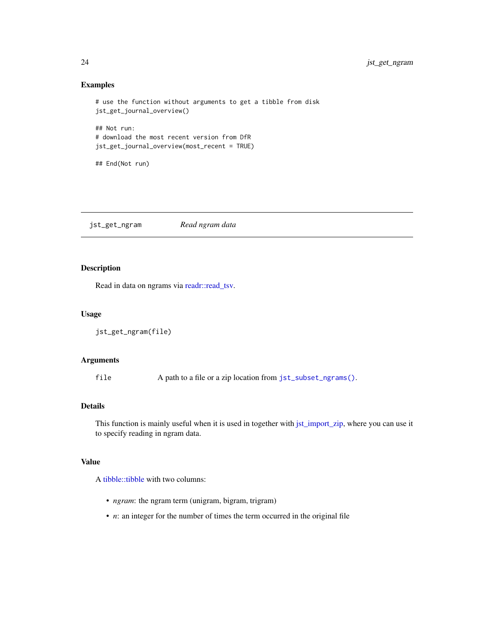## Examples

```
# use the function without arguments to get a tibble from disk
jst_get_journal_overview()
## Not run:
# download the most recent version from DfR
jst_get_journal_overview(most_recent = TRUE)
```
## End(Not run)

<span id="page-23-1"></span>jst\_get\_ngram *Read ngram data*

## Description

Read in data on ngrams via [readr::read\\_tsv.](#page-0-0)

## Usage

```
jst_get_ngram(file)
```
## Arguments

file A path to a file or a zip location from [jst\\_subset\\_ngrams\(\)](#page-29-2).

## Details

This function is mainly useful when it is used in together with [jst\\_import\\_zip,](#page-26-2) where you can use it to specify reading in ngram data.

## Value

A [tibble::tibble](#page-0-0) with two columns:

- *ngram*: the ngram term (unigram, bigram, trigram)
- *n*: an integer for the number of times the term occurred in the original file

<span id="page-23-0"></span>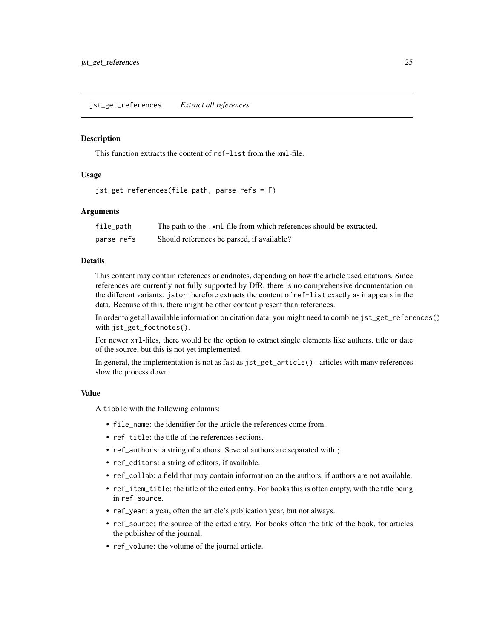<span id="page-24-0"></span>This function extracts the content of ref-list from the xml-file.

## Usage

```
jst_get_references(file_path, parse_refs = F)
```
## Arguments

| file_path  | The path to the .xml-file from which references should be extracted. |
|------------|----------------------------------------------------------------------|
| parse refs | Should references be parsed, if available?                           |

## Details

This content may contain references or endnotes, depending on how the article used citations. Since references are currently not fully supported by DfR, there is no comprehensive documentation on the different variants. jstor therefore extracts the content of ref-list exactly as it appears in the data. Because of this, there might be other content present than references.

In order to get all available information on citation data, you might need to combine jst\_get\_references() with jst\_get\_footnotes().

For newer xml-files, there would be the option to extract single elements like authors, title or date of the source, but this is not yet implemented.

In general, the implementation is not as fast as  $jst\_get\_article()$  - articles with many references slow the process down.

#### Value

A tibble with the following columns:

- file\_name: the identifier for the article the references come from.
- ref\_title: the title of the references sections.
- ref\_authors: a string of authors. Several authors are separated with ;.
- ref\_editors: a string of editors, if available.
- ref\_collab: a field that may contain information on the authors, if authors are not available.
- ref\_item\_title: the title of the cited entry. For books this is often empty, with the title being in ref\_source.
- ref\_year: a year, often the article's publication year, but not always.
- ref\_source: the source of the cited entry. For books often the title of the book, for articles the publisher of the journal.
- ref\_volume: the volume of the journal article.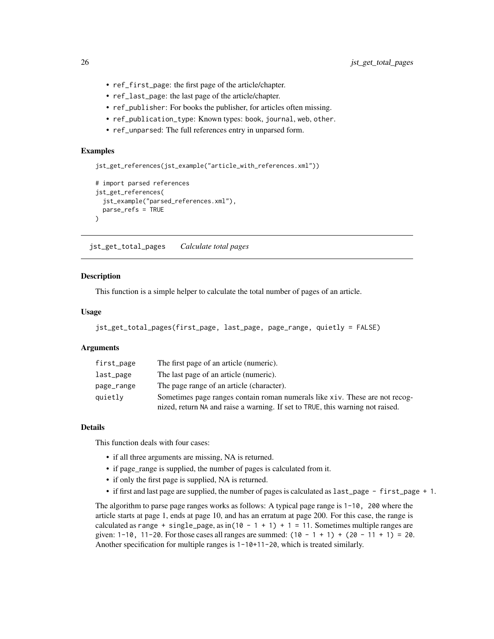- ref\_first\_page: the first page of the article/chapter.
- ref\_last\_page: the last page of the article/chapter.
- ref\_publisher: For books the publisher, for articles often missing.
- ref\_publication\_type: Known types: book, journal, web, other.
- ref\_unparsed: The full references entry in unparsed form.

## Examples

```
jst_get_references(jst_example("article_with_references.xml"))
```

```
# import parsed references
jst_get_references(
 jst_example("parsed_references.xml"),
 parse_refs = TRUE
)
```
<span id="page-25-1"></span>jst\_get\_total\_pages *Calculate total pages*

#### **Description**

This function is a simple helper to calculate the total number of pages of an article.

#### Usage

```
jst_get_total_pages(first_page, last_page, page_range, quietly = FALSE)
```
## **Arguments**

| first_page | The first page of an article (numeric).                                                                                                                       |
|------------|---------------------------------------------------------------------------------------------------------------------------------------------------------------|
| last_page  | The last page of an article (numeric).                                                                                                                        |
| page_range | The page range of an article (character).                                                                                                                     |
| quietly    | Sometimes page ranges contain roman numerals like xiv. These are not recog-<br>nized, return NA and raise a warning. If set to TRUE, this warning not raised. |

### Details

This function deals with four cases:

- if all three arguments are missing, NA is returned.
- if page\_range is supplied, the number of pages is calculated from it.
- if only the first page is supplied, NA is returned.
- if first and last page are supplied, the number of pages is calculated as last\_page first\_page + 1.

The algorithm to parse page ranges works as follows: A typical page range is 1-10, 200 where the article starts at page 1, ends at page 10, and has an erratum at page 200. For this case, the range is calculated as range + single\_page, as in( $10 - 1 + 1$ ) + 1 = 11. Sometimes multiple ranges are given:  $1-10$ ,  $11-20$ . For those cases all ranges are summed:  $(10 - 1 + 1) + (20 - 11 + 1) = 20$ . Another specification for multiple ranges is 1-10+11-20, which is treated similarly.

<span id="page-25-0"></span>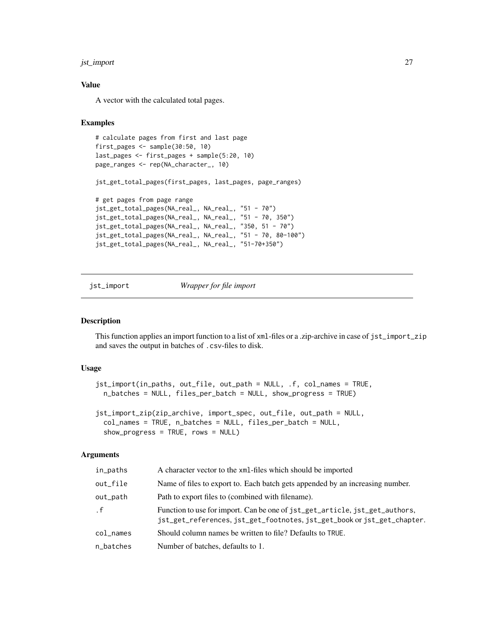## <span id="page-26-0"></span>jst\_import 27

## Value

A vector with the calculated total pages.

## Examples

```
# calculate pages from first and last page
first_pages <- sample(30:50, 10)
last_pages <- first_pages + sample(5:20, 10)
page_ranges <- rep(NA_character_, 10)
jst_get_total_pages(first_pages, last_pages, page_ranges)
# get pages from page range
jst_get_total_pages(NA_real_, NA_real_, "51 - 70")
jst_get_total_pages(NA_real_, NA_real_, "51 - 70, 350")
jst_get_total_pages(NA_real_, NA_real_, "350, 51 - 70")
jst_get_total_pages(NA_real_, NA_real_, "51 - 70, 80-100")
jst_get_total_pages(NA_real_, NA_real_, "51-70+350")
```
<span id="page-26-1"></span>jst\_import *Wrapper for file import*

## <span id="page-26-2"></span>Description

This function applies an import function to a list of xml-files or a .zip-archive in case of jst\_import\_zip and saves the output in batches of .csv-files to disk.

## Usage

```
jst_import(in_paths, out_file, out_path = NULL, .f, col_names = TRUE,
 n_batches = NULL, files_per_batch = NULL, show_progress = TRUE)
```

```
jst_import_zip(zip_archive, import_spec, out_file, out_path = NULL,
  col_names = TRUE, n_batches = NULL, files_per_batch = NULL,
  show_progress = TRUE, rows = NULL)
```
## Arguments

| in_paths  | A character vector to the xml-files which should be imported                                                                                           |
|-----------|--------------------------------------------------------------------------------------------------------------------------------------------------------|
| out file  | Name of files to export to. Each batch gets appended by an increasing number.                                                                          |
| out_path  | Path to export files to (combined with filename).                                                                                                      |
| $\cdot$ f | Function to use for import. Can be one of jst_get_article, jst_get_authors,<br>jst_get_references, jst_get_footnotes, jst_get_book or jst_get_chapter. |
| col names | Should column names be written to file? Defaults to TRUE.                                                                                              |
| n_batches | Number of batches, defaults to 1.                                                                                                                      |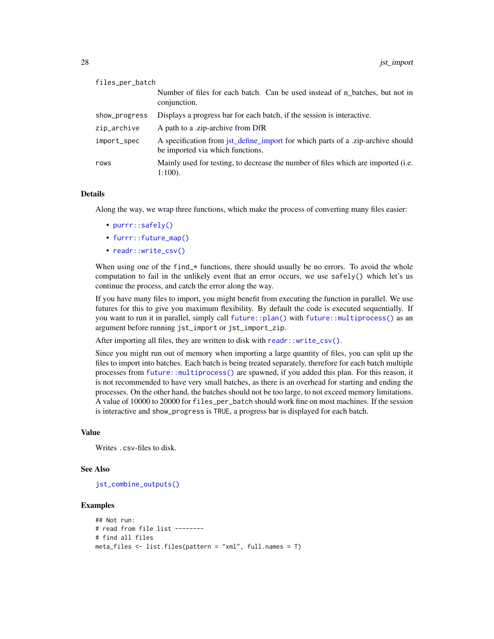<span id="page-27-0"></span>

| files_per_batch |                                                                                                                     |
|-----------------|---------------------------------------------------------------------------------------------------------------------|
|                 | Number of files for each batch. Can be used instead of n_batches, but not in<br>conjunction.                        |
| show_progress   | Displays a progress bar for each batch, if the session is interactive.                                              |
| zip_archive     | A path to a .zip-archive from DfR                                                                                   |
| import_spec     | A specification from jst_define_import for which parts of a .zip-archive should<br>be imported via which functions. |
| rows            | Mainly used for testing, to decrease the number of files which are imported (i.e.<br>$1:100$ ).                     |

#### Details

Along the way, we wrap three functions, which make the process of converting many files easier:

- [purrr::safely\(\)](#page-0-0)
- [furrr::future\\_map\(\)](#page-0-0)
- [readr::write\\_csv\(\)](#page-0-0)

When using one of the find\_ $*$  functions, there should usually be no errors. To avoid the whole computation to fail in the unlikely event that an error occurs, we use safely() which let's us continue the process, and catch the error along the way.

If you have many files to import, you might benefit from executing the function in parallel. We use futures for this to give you maximum flexibility. By default the code is executed sequentially. If you want to run it in parallel, simply call [future::plan\(\)](#page-0-0) with [future::multiprocess\(\)](#page-0-0) as an argument before running jst\_import or jst\_import\_zip.

After importing all files, they are written to disk with [readr::write\\_csv\(\)](#page-0-0).

Since you might run out of memory when importing a large quantity of files, you can split up the files to import into batches. Each batch is being treated separately, therefore for each batch multiple processes from [future::multiprocess\(\)](#page-0-0) are spawned, if you added this plan. For this reason, it is not recommended to have very small batches, as there is an overhead for starting and ending the processes. On the other hand, the batches should not be too large, to not exceed memory limitations. A value of 10000 to 20000 for files\_per\_batch should work fine on most machines. If the session is interactive and show\_progress is TRUE, a progress bar is displayed for each batch.

## Value

Writes .csv-files to disk.

## See Also

[jst\\_combine\\_outputs\(\)](#page-13-1)

## Examples

```
## Not run:
# read from file list --------
# find all files
meta_files <- list.files(pattern = "xml", full.names = T)
```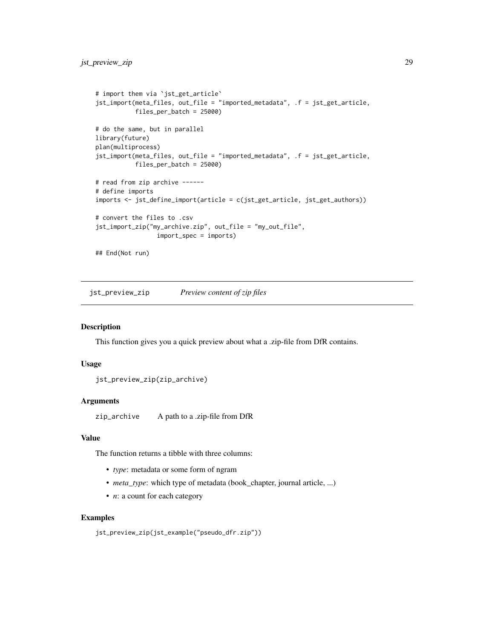```
# import them via `jst_get_article`
jst_import(meta_files, out_file = "imported_metadata", .f = jst_get_article,
           files_per_batch = 25000)
# do the same, but in parallel
library(future)
plan(multiprocess)
jst_import(meta_files, out_file = "imported_metadata", .f = jst_get_article,
           files_per_batch = 25000)
# read from zip archive ------
# define imports
imports <- jst_define_import(article = c(jst_get_article, jst_get_authors))
# convert the files to .csv
jst_import_zip("my_archive.zip", out_file = "my_out_file",
                import_spec = imports)
## End(Not run)
```
jst\_preview\_zip *Preview content of zip files*

#### Description

This function gives you a quick preview about what a .zip-file from DfR contains.

## Usage

```
jst_preview_zip(zip_archive)
```
#### Arguments

zip\_archive A path to a .zip-file from DfR

#### Value

The function returns a tibble with three columns:

- *type*: metadata or some form of ngram
- *meta\_type*: which type of metadata (book\_chapter, journal article, ...)
- *n*: a count for each category

## Examples

jst\_preview\_zip(jst\_example("pseudo\_dfr.zip"))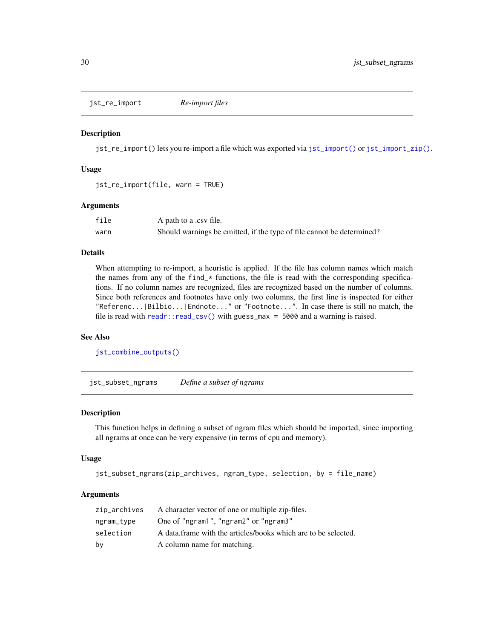<span id="page-29-1"></span><span id="page-29-0"></span>jst\_re\_import *Re-import files*

#### Description

jst\_re\_import() lets you re-import a file which was exported via [jst\\_import\(\)](#page-26-1) or [jst\\_import\\_zip\(\)](#page-26-2).

## Usage

```
jst_re_import(file, warn = TRUE)
```
#### Arguments

| file | A path to a .csv file.                                                |
|------|-----------------------------------------------------------------------|
| warn | Should warnings be emitted, if the type of file cannot be determined? |

## Details

When attempting to re-import, a heuristic is applied. If the file has column names which match the names from any of the find\_ $*$  functions, the file is read with the corresponding specifications. If no column names are recognized, files are recognized based on the number of columns. Since both references and footnotes have only two columns, the first line is inspected for either "Referenc...|Bilbio...|Endnote..." or "Footnote...". In case there is still no match, the file is read with [readr::read\\_csv\(\)](#page-0-0) with guess\_max = 5000 and a warning is raised.

## See Also

[jst\\_combine\\_outputs\(\)](#page-13-1)

<span id="page-29-2"></span>jst\_subset\_ngrams *Define a subset of ngrams*

## Description

This function helps in defining a subset of ngram files which should be imported, since importing all ngrams at once can be very expensive (in terms of cpu and memory).

#### Usage

```
jst_subset_ngrams(zip_archives, ngram_type, selection, by = file_name)
```
#### **Arguments**

| zip_archives | A character vector of one or multiple zip-files.               |
|--------------|----------------------------------------------------------------|
| ngram_type   | One of "ngram1", "ngram2" or "ngram3"                          |
| selection    | A data frame with the articles/books which are to be selected. |
| by           | A column name for matching.                                    |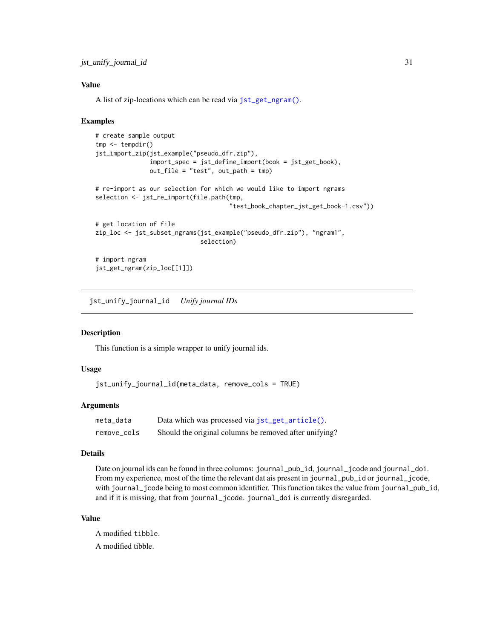## <span id="page-30-0"></span>Value

A list of zip-locations which can be read via [jst\\_get\\_ngram\(\)](#page-23-1).

## Examples

```
# create sample output
tmp <- tempdir()
jst_import_zip(jst_example("pseudo_dfr.zip"),
               import_spec = jst_define_import(book = jst_get_book),
               out_file = "test", out_path = tmp)
# re-import as our selection for which we would like to import ngrams
selection <- jst_re_import(file.path(tmp,
                                     "test_book_chapter_jst_get_book-1.csv"))
# get location of file
zip_loc <- jst_subset_ngrams(jst_example("pseudo_dfr.zip"), "ngram1",
                             selection)
# import ngram
jst_get_ngram(zip_loc[[1]])
```
<span id="page-30-1"></span>jst\_unify\_journal\_id *Unify journal IDs*

## Description

This function is a simple wrapper to unify journal ids.

## Usage

```
jst_unify_journal_id(meta_data, remove_cols = TRUE)
```
## Arguments

| meta data   | Data which was processed via jst_get_article().        |
|-------------|--------------------------------------------------------|
| remove_cols | Should the original columns be removed after unifying? |

#### Details

Date on journal ids can be found in three columns: journal\_pub\_id, journal\_jcode and journal\_doi. From my experience, most of the time the relevant dat ais present in journal\_pub\_id or journal\_jcode, with journal\_jcode being to most common identifier. This function takes the value from journal\_pub\_id, and if it is missing, that from journal\_jcode. journal\_doi is currently disregarded.

## Value

A modified tibble. A modified tibble.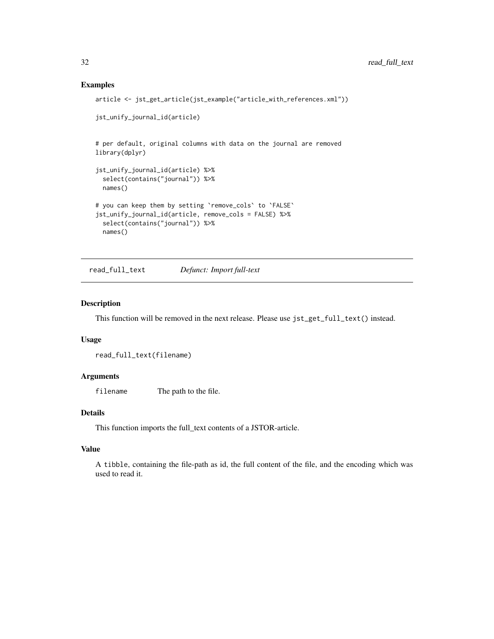## Examples

```
article <- jst_get_article(jst_example("article_with_references.xml"))
jst_unify_journal_id(article)
# per default, original columns with data on the journal are removed
library(dplyr)
jst_unify_journal_id(article) %>%
 select(contains("journal")) %>%
 names()
# you can keep them by setting `remove_cols` to `FALSE`
jst_unify_journal_id(article, remove_cols = FALSE) %>%
 select(contains("journal")) %>%
 names()
```
read\_full\_text *Defunct: Import full-text*

## Description

This function will be removed in the next release. Please use jst\_get\_full\_text() instead.

## Usage

```
read_full_text(filename)
```
## Arguments

filename The path to the file.

## Details

This function imports the full\_text contents of a JSTOR-article.

## Value

A tibble, containing the file-path as id, the full content of the file, and the encoding which was used to read it.

<span id="page-31-0"></span>